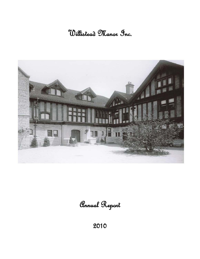# Willistead Manor Inc.



Annual Report

2010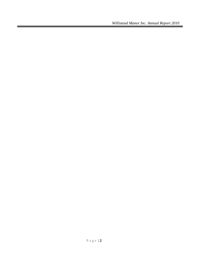*Willistead Manor Inc. Annual Report 2010*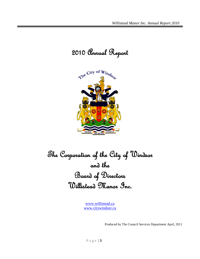

# The Corporation of the City of Windsor and the Board of Directors Willistead Manor Inc.

[www.willistead.ca](http://www.willistead.ca/) [www.citywindsor.ca](http://www.citywindsor.ca/)

Produced by The Council Services Department April, 2011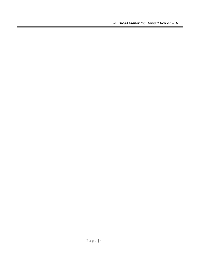*Willistead Manor Inc. Annual Report 2010*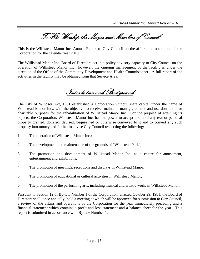To His Worship the Mayor and Members of Council

This is the Willistead Manor Inc. Annual Report to City Council on the affairs and operations of the Corporation for the calendar year 2010.

The Willistead Manor Inc. Board of Directors act in a policy advisory capacity to City Council on the operation of Willistead Manor Inc.; however, the ongoing management of the facility is under the direction of the Office of the Community Development and Health Commissioner. A full report of the activities in the facility may be obtained from that Service Area.

Introduction and Background

The City of Windsor Act, 1981 established a Corporation without share capital under the name of Willistead Manor Inc., with the objective to receive, maintain, manage, control and use donations for charitable purposes for the rehabilitation of Willistead Manor Inc. For the purpose of attaining its objects, the Corporation, Willistead Manor Inc. has the power to accept and hold any real or personal property granted, donated, devised, bequeathed or otherwise conveyed to it and to convert any such property into money and further to advise City Council respecting the following:

- 1. The operation of Willistead Manor Inc.;
- 2. The development and maintenance of the grounds of "Willistead Park";
- 3. The promotion and development of Willistead Manor Inc. as a centre for amusement, entertainment and exhibitions;
- 4. The promotion of meetings, receptions and displays in Willistead Manor;
- 5. The promotion of educational or cultural activities in Willistead Manor;
- 6. The promotion of the performing arts, including musical and artistic work, in Willistead Manor.

Pursuant to Section 12 of By-law Number 1 of the Corporation, enacted October 29, 1981, the Board of Directors shall, once annually, hold a meeting at which will be approved for submission to City Council, a review of the affairs and operations of the Corporation for the year immediately preceding and a financial statement which contains a profit and loss statement and a balance sheet for the year. This report is submitted in accordance with By-law Number 1.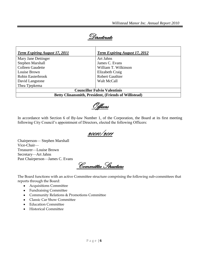Directorate

| <b>Term Expiring August 17, 2011</b>                         | <b>Term Expiring August 17, 2012</b> |  |
|--------------------------------------------------------------|--------------------------------------|--|
| Mary Jane Dettinger                                          | Art Jahns                            |  |
| Stephen Marshall                                             | James C. Evans                       |  |
| <b>Colleen Gaudette</b>                                      | William T. Wilkinson                 |  |
| Louise Brown                                                 | Elizabeth Craig                      |  |
| Robin Easterbrook                                            | <b>Robert Gauthier</b>               |  |
| David Langstone                                              | Walt McCall                          |  |
| Thea Tiepkema                                                |                                      |  |
| <b>Councillor Fulvio Valentinis</b>                          |                                      |  |
| <b>Betty Clinansmith, President, (Friends of Willistead)</b> |                                      |  |

<u>Officers</u>

In accordance with Section 6 of By-law Number 1, of the Corporation, the Board at its first meeting following City Council's appointment of Directors, elected the following Officers:

20010/2011

Chairperson— Stephen Marshall Vice-Chair— Treasurer—Louise Brown Secretary—Art Jahns Past Chairperson—James C. Evans

Committee Structure

The Board functions with an active Committee structure comprising the following sub-committees that reports through the Board:

- Acquisitions Committee  $\bullet$
- Fundraising Committee
- Community Relations & Promotions Committee
- Classic Car Show Committee
- Education Committee
- Historical Committee $\bullet$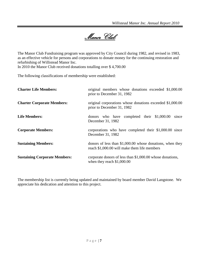<u>Manor Club</u>

The Manor Club Fundraising program was approved by City Council during 1982, and revised in 1983, as an effective vehicle for persons and corporations to donate money for the continuing restoration and refurbishing of Willistead Manor Inc.

In 2010 the Manor Club received donations totalling over \$ 4,700.00

The following classifications of membership were established:

| <b>Charter Life Members:</b>         | original members whose donations exceeded \$1,000.00<br>prior to December 31, 1982                         |  |
|--------------------------------------|------------------------------------------------------------------------------------------------------------|--|
| <b>Charter Corporate Members:</b>    | original corporations whose donations exceeded \$1,000.00<br>prior to December 31, 1982                    |  |
| <b>Life Members:</b>                 | donors who have completed their $$1,000.00$<br>since<br>December 31, 1982                                  |  |
| <b>Corporate Members:</b>            | corporations who have completed their \$1,000.00 since<br>December 31, 1982                                |  |
| <b>Sustaining Members:</b>           | donors of less than $$1,000.00$ whose donations, when they<br>reach \$1,000.00 will make them life members |  |
| <b>Sustaining Corporate Members:</b> | corporate donors of less than \$1,000.00 whose donations,<br>when they reach $$1,000.00$                   |  |

The membership list is currently being updated and maintained by board member David Langstone. We appreciate his dedication and attention to this project.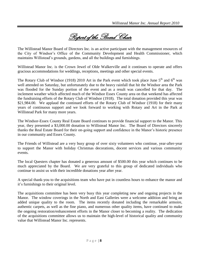Report of the Board Chair

The Willistead Manor Board of Directors Inc. is an active participant with the management resources of the City of Windsor's Office of the Community Development and Health Commissioner, which maintains Willistead's grounds, gardens, and all the buildings and furnishings.

Willistead Manor Inc. is the Crown Jewel of Olde Walkerville and it continues to operate and offers gracious accommodations for weddings, receptions, meetings and other special events.

The Rotary Club of Windsor (1918) 2010 Art in the Park event which took place June  $5<sup>th</sup>$  and  $6<sup>th</sup>$  was well attended on Saturday, but unfortunately due to the heavy rainfall that hit the Windsor area the Park was flooded for the Sunday portion of the event and as a result was cancelled for that day. The inclement weather which affected much of the Windsor Essex County area on that weekend has affected the fundraising efforts of the Rotary Club of Windsor (1918). The total donation provided this year was \$21,984.00. We applaud the continued efforts of the Rotary Club of Windsor (1918) for their many years of continuous support and we look forward to working with Rotary and Art in the Park at Willistead Park for many more years.

The Windsor-Essex County Real Estate Board continues to provide financial support to the Manor. This year, they presented a \$3,000.00 donation to Willistead Manor Inc. The Board of Directors sincerely thanks the Real Estate Board for their on-going support and confidence in the Manor's historic presence in our community and Essex County.

The Friends of Willistead are a very busy group of over sixty volunteers who continue, year-after-year to support the Manor with holiday Christmas decorations, docent services and various community events.

The local Questers chapter has donated a generous amount of \$500.00 this year which continues to be much appreciated by the Board. We are very grateful to this group of dedicated individuals who continue to assist us with their incredible donations year after year.

A special thank-you to the acquisitions team who have put in countless hours to enhance the manor and it's furnishings to their original level.

The acquisitions committee has been very busy this year completing new and ongoing projects in the Manor. The window coverings in the North and East Galleries were a welcome addition and bring an added unique quality to the room. The items recently donated including the remarkable armoire, authentic carpets, as well as the fine piano, and numerous other quality items, have continued to make the ongoing restoration/enhancement efforts in the Manor closer to becoming a reality. The dedication of the acquisitions committee allows us to maintain the high-level of historical quality and community value that Willistead Manor Inc. represents.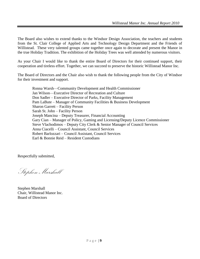The Board also wishes to extend thanks to the Windsor Design Association, the teachers and students from the St. Clair College of Applied Arts and Technology Design Department and the Friends of Willistead. These very talented groups came together once again to decorate and present the Manor in the true Holiday Tradition. The exhibition of the Holiday Trees was well attended by numerous visitors.

As your Chair I would like to thank the entire Board of Directors for their continued support, their cooperation and tireless effort. Together, we can succeed to preserve the historic Willistead Manor Inc.

The Board of Directors and the Chair also wish to thank the following people from the City of Windsor for their investment and support.

Ronna Warsh—Community Development and Health Commissioner Jan Wilson—Executive Director of Recreation and Culture Don Sadler – Executive Director of Parks, Facility Management Pam LaBute – Manager of Community Facilities & Business Development Sharon Garrett – Facility Person Sarah St. John – Facility Person Joseph Mancina – Deputy Treasurer, Financial Accounting Gary Cian – Manager of Policy, Gaming and Licensing/Deputy Licence Commissioner Steve Vlachodimos – Deputy City Clerk & Senior Manager of Council Services Anna Ciacelli – Council Assistant, Council Services Robert Barlozzari – Council Assistant, Council Services Earl & Bonnie Reid – Resident Custodians

Respectfully submitted,

Stephen Marshall

Stephen Marshall Chair, Willistead Manor Inc. Board of Directors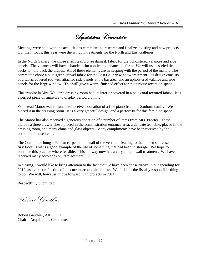Acquisitions Committee

Meetings were held with the acquisitions committee to research and finalize, existing and new projects. Our main focus, this year were the window treatments for the North and East Galleries.

In the North Gallery, we chose a rich teal/bronze damask fabric for the upholstered valances and side panels. The valances will have a banded trim applied to enhance its form. We will use tasseled tiebacks to hold back the drapes. All of these elements are in keeping with the period of the manor. The committee chose a blue-green crewel fabric for the East Gallery window treatment. Its design consists of a fabric covered rod with attached side panels at the bar area, and an upholstered valance and side panels for the large window. This will give a warm, finished effect for this unique reception space.

The armoire in Mrs. Walker's dressing room had its interior covered in a pale coral textured fabric. It is a perfect piece of furniture to display period clothing.

Willistead Manor was fortunate to receive a donation of a fine piano from the Sanborn family. We placed it in the dressing room. It is a very graceful design, and a perfect fit for this feminine space.

The Manor has also received a generous donation of a number of items from Mrs. Procter. These include a three drawer chest, placed in the administration entrance area; a delicate tea table, placed in the dressing room, and many china and glass objects. Many compliments have been received by the addition of these items.

The Committee hung a Persian carpet on the wall of the vestibule leading to the hidden staircase on the first floor. This is a good example of the use of something that had been in storage. We hope to continue this practice where feasible. This hallway now has a very unique wall treatment. We have received many accolades on its placement.

In closing, I would like to bring attention to the fact that we have been conservative in our spending for 2010, as a direct reflection of the current economic climate. We feel it is the fiscally responsible thing to do. We will, however, move forward with projects in 2011.

Respectfully Submitted,

Robert Gauthier

Robert Gauthier, ARIDO IDC Chair—Acquisitions Committee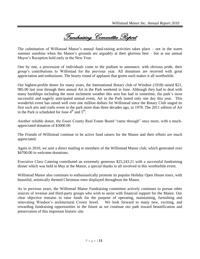Fundraising Committee Report

The culmination of Willistead Manor's annual fund-raising activities takes place – not in the warm summer sunshine when the Manor's grounds are arguably at their glorious best – but at our annual Mayor's Reception held early in the New Year.

One by one, a procession of individuals come to the podium to announce, with obvious pride, their group's contributions to Willistead for the previous year. All donations are received with great appreciation and enthusiasm. The hearty round of applause that greets each makes it all worthwhile.

Our highest-profile donor for many years, the International Rotary club of Windsor (1918) raised \$21, 985.00 last year through their annual Art in the Park weekend in June. Although they had to deal with many hardships including the most inclement weather this area has had in sometime, the park's most successful and eagerly anticipated annual event, Art in the Park lasted only one day this year. This wonderful event has raised well over one million dollars for Willistead since the Rotary Club staged its first such arts and crafts event in the park more than three decades ago, in 1978. The 2011 edition of Art in the Park is scheduled for June  $4<sup>th</sup>$  and  $5<sup>th</sup>$ .

Another reliable donor, the Essex County Real Estate Board "came through" once more, with a muchappreciated donation of \$3000.00

The Friends of Willistead continue to be active fund raisers for the Manor and their efforts are much appreciated.

Again in 2010, we sent a direct mailing to members of the Willistead Manor club, which generated over \$4700.00 in welcome donations.

Executive Class Catering contributed an extremely generous \$25,243.21 with a successful fundraising dinner which was held in May at the Manor, a special thanks to all involved in this worthwhile event.

Willistead Manor also continues to enthusiastically promote its popular Holiday Open House tours, with beautiful, artistically themed Christmas trees displayed throughout the Manor.

As in previous years, the Willistead Manor Fundraising committee actively continues to pursue other sources of revenue and third-party groups who wish to assist with financial support for the Manor. Our clear objective remains to raise funds for the purpose of operating, maintaining, furnishing and renovating Windsor's architectural Crown Jewel. We look forward to many new, exciting, and rewarding fundraising opportunities in the future as we continue our path toward beautification and preservation of this important historic site.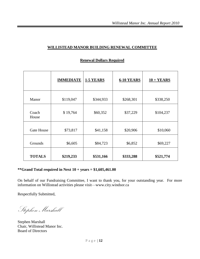### **WILLISTEAD MANOR BUILDING RENEWAL COMMITTEE**

|                   | <b>IMMEDIATE</b> | 1-5 YEARS | <b>6-10 YEARS</b> | $10 + YEARS$ |
|-------------------|------------------|-----------|-------------------|--------------|
| Manor             | \$119,047        | \$344,933 | \$268,301         | \$338,250    |
| Coach<br>House    | \$19,764         | \$60,352  | \$37,229          | \$104,237    |
| <b>Gate House</b> | \$73,817         | \$41,158  | \$20,906          | \$10,060     |
| Grounds           | \$6,605          | \$84,723  | \$6,852           | \$69,227     |
| <b>TOTALS</b>     | \$219,233        | \$531,166 | \$333,288         | \$521,774    |

#### **Renewal Dollars Required**

#### **\*\*Grand Total required in Next 10 + years = \$1,605,461.00**

On behalf of our Fundraising Committee, I want to thank you, for your outstanding year. For more information on Willistead activities please visit—www.city.windsor.ca

Respectfully Submitted,

Stephen Marshall

Stephen Marshall Chair, Willistead Manor Inc. Board of Directors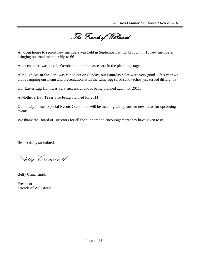<u>The Friends of Willistead</u>

An open house to recruit new members was held in September, which brought in 10 new members, bringing out total membership to 66.

A docent class was held in October and more classes are in the planning stage.

Although Art-in-the-Park was rained out on Sunday, our Saturday sales were very good. This year we are revamping our menu and presentation, with the same egg salad sandwiches just served differently.

Our Easter Egg Hunt was very successful and is being planned again for 2011.

A Mother's Day Tea is also being planned for 2011.

Our newly formed Special Events Committee will be meeting with plans for new ideas for upcoming events.

We thank the Board of Directors for all the support and encouragement they have given to us.

Respectfully submitted,

Betty Clinansmith

Betty Clinansmith

President Friends of Willistead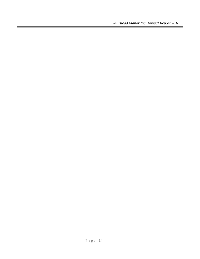*Willistead Manor Inc. Annual Report 2010*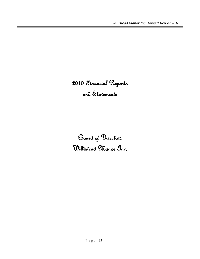# 2010 Financial Reports and Statements

Board of Directors Willistead Manor Inc.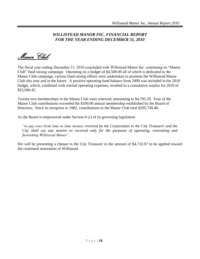### *WILLISTEAD MANOR INC. FINANCIAL REPORT FOR THE YEAR ENDING DECEMBER 31, 2010*

Manor Club

The fiscal year ending December 31, 2010 concluded with Willistead Manor Inc. continuing its "Manor Club" fund raising campaign. Operating on a budget of \$4,500.00 all of which is dedicated to the Manor Club campaign, various fund raising efforts were undertaken to promote the Willistead Manor Club this year and in the future. A positive operating fund balance from 2009 was included in the 2010 budget, which, combined with normal operating expenses, resulted in a cumulative surplus for 2010 of \$25,946.45.

Twenty-two memberships in the Manor Club were renewed, amounting to \$4,705.29. Four of the Manor Club contributions exceeded the \$100.00 annual membership established by the Board of Directors. Since its inception in 1982, contributions to the Manor Club total \$295,749.48.

As the Board is empowered under Section 6 (c) of its governing legislation

*"to pay over from time to time monies received by the Corporation to the City Treasurer and the City shall use any monies so received only for the purposes of operating, renovating and furnishing Willistead Manor".*

We will be presenting a cheque to the City Treasurer in the amount of \$4,732.07 to be applied toward the continued restoration of Willistead.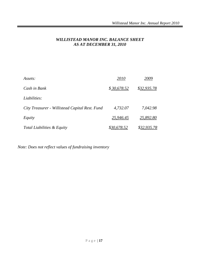### *WILLISTEAD MANOR INC. BALANCE SHEET AS AT DECEMBER 31, 2010*

| Assets:                                        | <i>2010</i> | 2009               |
|------------------------------------------------|-------------|--------------------|
| Cash in Bank                                   | \$30,678.52 | \$32,935.78        |
| Liabilities:                                   |             |                    |
| City Treasurer - Willistead Capital Rest. Fund | 4,732.07    | 7,042.98           |
| Equity                                         | 25,946.45   | 25,892.80          |
| Total Liabilities & Equity                     | \$30,678.52 | <u>\$32,935.78</u> |

*Note: Does not reflect values of fundraising inventory*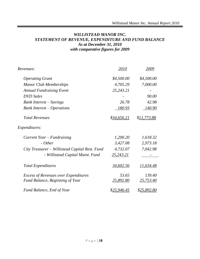## *WILLISTEAD MANOR INC. STATEMENT OF REVENUE, EXPENDITURE AND FUND BALANCE As at December 31, 2010 with comparative figures for 2009*

| Revenues:                                      | <u>2010</u>        | 2009             |  |
|------------------------------------------------|--------------------|------------------|--|
| <b>Operating Grant</b>                         | \$4,500.00         | \$4,500.00       |  |
| <b>Manor Club Memberships</b>                  | 4,705.29           | 7,000.00         |  |
| <b>Annual Fundraising Event</b>                | 25,243.21          |                  |  |
| <b>DVD</b> Sales                               |                    | 90.00            |  |
| <b>Bank Interest – Savings</b>                 | 26.78              | 42.98            |  |
| Bank Interest – Operations                     | 180.93             | 140.90           |  |
| <b>Total Revenues</b>                          | \$34,656.21        | \$11,773.88      |  |
| Expenditures:                                  |                    |                  |  |
| Current Year $-Fundraising$                    | 1,200.20           | 1,618.32         |  |
| $- Other$                                      | 3,427.08           | 2,973.18         |  |
| City Treasurer – Willistead Capital Rest. Fund | 4,732.07           | 7,042.98         |  |
| - Willistead Capital Maint. Fund               | <u>25,243.21</u>   |                  |  |
| <b>Total Expenditures</b>                      | 34,602.56          | <u>11,634.48</u> |  |
| <b>Excess of Revenues over Expenditures</b>    | 53.65              | 139.40           |  |
| Fund Balance, Beginning of Year                | 25,892.80          | 25,753.40        |  |
| Fund Balance, End of Year                      | <u>\$25,946.45</u> | \$25,892.80      |  |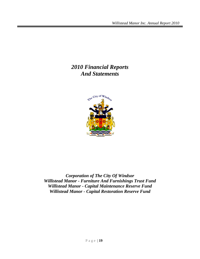# *2010 Financial Reports And Statements*



*Corporation of The City Of Windsor Willistead Manor - Furniture And Furnishings Trust Fund Willistead Manor - Capital Maintenance Reserve Fund Willistead Manor - Capital Restoration Reserve Fund*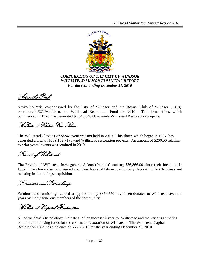

*CORPORATION OF THE CITY OF WINDSOR WILLISTEAD MANOR FINANCIAL REPORT For the year ending December 31, 2010*

Art-in-the-Park

Art-in-the-Park, co-sponsored by the City of Windsor and the Rotary Club of Windsor (1918), contributed \$21,984.00 to the Willistead Restoration Fund for 2010. This joint effort, which commenced in 1978, has generated \$1,046,648.88 towards Willistead Restoration projects.

Willistead Classic Car Show

The Willistead Classic Car Show event was not held in 2010. This show, which began in 1987, has generated a total of \$209,152.71 toward Willistead restoration projects. An amount of \$200.00 relating to prior years' events was remitted in 2010.

Friends of Willistead

The Friends of Willistead have generated 'contributions' totaling \$86,866.00 since their inception in 1982. They have also volunteered countless hours of labour, particularly decorating for Christmas and assisting in furnishings acquisitions.

Furniture and Furnishings

Furniture and furnishings valued at approximately \$376,550 have been donated to Willistead over the years by many generous members of the community.

Willistead Capital Restoration

All of the details listed above indicate another successful year for Willistead and the various activities committed to raising funds for the continued restoration of Willistead. The Willistead Capital Restoration Fund has a balance of \$53,532.18 for the year ending December 31, 2010.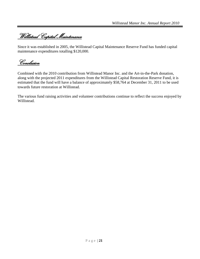Willistead Capital Maintenance

Since it was established in 2005, the Willistead Capital Maintenance Reserve Fund has funded capital maintenance expenditures totalling \$120,000.

Conclusion

Combined with the 2010 contribution from Willistead Manor Inc. and the Art-in-the-Park donation, along with the projected 2011 expenditures from the Willistead Capital Restoration Reserve Fund, it is estimated that the fund will have a balance of approximately \$58,764 at December 31, 2011 to be used towards future restoration at Willistead.

The various fund raising activities and volunteer contributions continue to reflect the success enjoyed by Willistead.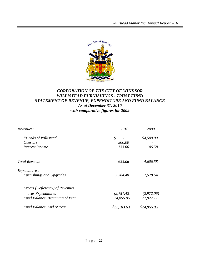

# *CORPORATION OF THE CITY OF WINDSOR WILLISTEAD FURNISHINGS - TRUST FUND STATEMENT OF REVENUE, EXPENDITURE AND FUND BALANCE As at December 31, 2010 with comparative figures for 2009*

| Revenues:                              | 2010        | 2009        |
|----------------------------------------|-------------|-------------|
| <b>Friends of Willistead</b>           | \$          | \$4,500.00  |
| Questers                               | 500.00      |             |
| Interest Income                        | 133.06      | 106.58      |
| <b>Total Revenue</b>                   | 633.06      | 4,606.58    |
| <i>Expenditures:</i>                   |             |             |
| <b>Furnishings and Upgrades</b>        | 3,384.48    | 7,578.64    |
| <i>Excess (Deficiency) of Revenues</i> |             |             |
| over Expenditures                      | (2,751.42)  | (2,972.06)  |
| Fund Balance, Beginning of Year        | 24,855.05   | 27,827.11   |
| Fund Balance, End of Year              | \$22,103.63 | \$24,855.05 |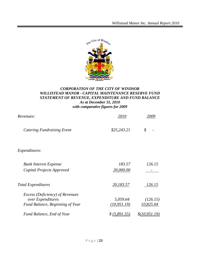

#### *CORPORATION OF THE CITY OF WINDSOR WILLISTEAD MANOR - CAPITAL MAINTENANCE RESERVE FUND STATEMENT OF REVENUE, EXPENDITURE AND FUND BALANCE As at December 31, 2010 with comparative figures for 2009*

| Revenues:                              | 2010          | 2009           |
|----------------------------------------|---------------|----------------|
| Catering Fundraising Event             | \$25,243.21   | \$             |
| <i>Expenditures:</i>                   |               |                |
| <b>Bank Interest Expense</b>           | 183.57        | 126.15         |
| Capital Projects Approved              | 20,000.00     |                |
| <b>Total Expenditures</b>              | 20,183.57     | 126.15         |
| <i>Excess (Deficiency) of Revenues</i> |               |                |
| over Expenditures                      | 5,059.64      | (126.15)       |
| Fund Balance, Beginning of Year        | (10, 951.19)  | 10,825.04      |
| Fund Balance, End of Year              | \$ (5,891.55) | \$(10, 951.19) |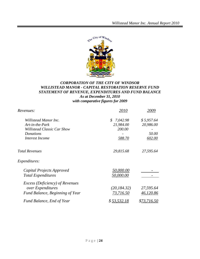

#### *CORPORATION OF THE CITY OF WINDSOR WILLISTEAD MANOR - CAPITAL RESTORATION RESERVE FUND STATEMENT OF REVENUE, EXPENDITURES AND FUND BALANCE As at December 31, 2010 with comparative figures for 2009*

| Revenues:                              | 2010                      | 2009        |
|----------------------------------------|---------------------------|-------------|
| Willistead Manor Inc.                  | 7,042.98<br>$\mathcal{S}$ | \$5,957.64  |
| Art-in-the-Park                        | 21,984.00                 | 20,986.00   |
| Willistead Classic Car Show            | 200.00                    |             |
| Donations                              |                           | 50.00       |
| Interest Income                        | 588.70                    | 602.00      |
| <b>Total Revenues</b>                  | 29,815.68                 | 27,595.64   |
| <i>Expenditures:</i>                   |                           |             |
| Capital Projects Approved              | 50,000.00                 |             |
| <b>Total Expenditures</b>              | 50,000.00                 |             |
| <i>Excess (Deficiency) of Revenues</i> |                           |             |
| over Expenditures                      | (20, 184.32)              | 27,595.64   |
| Fund Balance, Beginning of Year        | 73,716.50                 | 46,120.86   |
| Fund Balance, End of Year              | \$53,532.18               | \$73,716.50 |